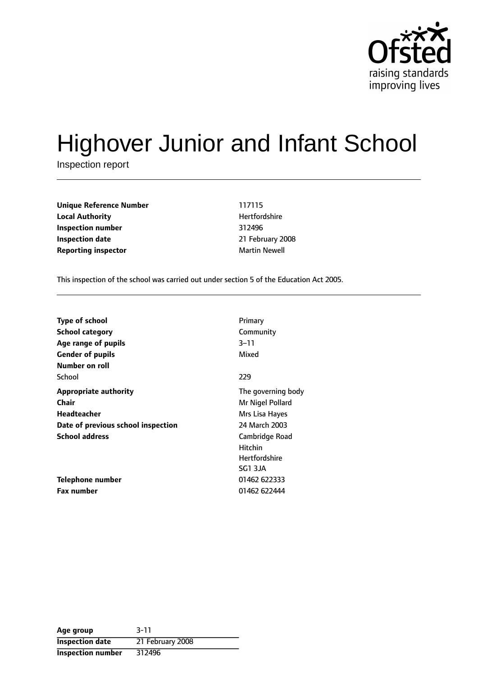

# Highover Junior and Infant School

Inspection report

**Unique Reference Number** 117115 **Local Authority Hertfordshire Inspection number** 312496 **Inspection date** 21 February 2008 **Reporting inspector Martin Newell** 

This inspection of the school was carried out under section 5 of the Education Act 2005.

| <b>Type of school</b>              | Primary              |
|------------------------------------|----------------------|
| <b>School category</b>             | Community            |
| Age range of pupils                | $3 - 11$             |
| <b>Gender of pupils</b>            | Mixed                |
| Number on roll                     |                      |
| School                             | 229                  |
| <b>Appropriate authority</b>       | The governing body   |
| <b>Chair</b>                       | Mr Nigel Pollard     |
| Headteacher                        | Mrs Lisa Hayes       |
| Date of previous school inspection | 24 March 2003        |
| <b>School address</b>              | Cambridge Road       |
|                                    | <b>Hitchin</b>       |
|                                    | <b>Hertfordshire</b> |
|                                    | SG1 3JA              |
| Telephone number                   | 01462 622333         |
| <b>Fax number</b>                  | 01462 622444         |

| Age group                | $3 - 11$         |
|--------------------------|------------------|
| <b>Inspection date</b>   | 21 February 2008 |
| <b>Inspection number</b> | 312496           |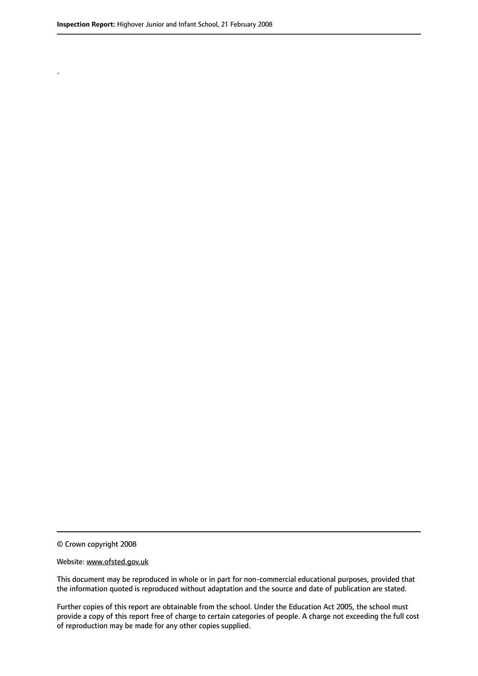.

© Crown copyright 2008

#### Website: www.ofsted.gov.uk

This document may be reproduced in whole or in part for non-commercial educational purposes, provided that the information quoted is reproduced without adaptation and the source and date of publication are stated.

Further copies of this report are obtainable from the school. Under the Education Act 2005, the school must provide a copy of this report free of charge to certain categories of people. A charge not exceeding the full cost of reproduction may be made for any other copies supplied.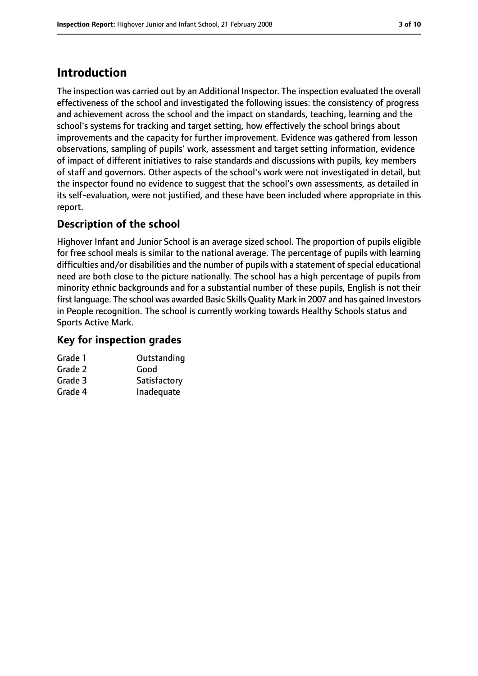# **Introduction**

The inspection was carried out by an Additional Inspector. The inspection evaluated the overall effectiveness of the school and investigated the following issues: the consistency of progress and achievement across the school and the impact on standards, teaching, learning and the school's systems for tracking and target setting, how effectively the school brings about improvements and the capacity for further improvement. Evidence was gathered from lesson observations, sampling of pupils' work, assessment and target setting information, evidence of impact of different initiatives to raise standards and discussions with pupils, key members of staff and governors. Other aspects of the school's work were not investigated in detail, but the inspector found no evidence to suggest that the school's own assessments, as detailed in its self-evaluation, were not justified, and these have been included where appropriate in this report.

# **Description of the school**

Highover Infant and Junior School is an average sized school. The proportion of pupils eligible for free school meals is similar to the national average. The percentage of pupils with learning difficulties and/or disabilities and the number of pupils with a statement of special educational need are both close to the picture nationally. The school has a high percentage of pupils from minority ethnic backgrounds and for a substantial number of these pupils, English is not their first language. The school was awarded Basic Skills Quality Mark in 2007 and has gained Investors in People recognition. The school is currently working towards Healthy Schools status and Sports Active Mark.

### **Key for inspection grades**

| Grade 1 | Outstanding  |
|---------|--------------|
| Grade 2 | Good         |
| Grade 3 | Satisfactory |
| Grade 4 | Inadequate   |
|         |              |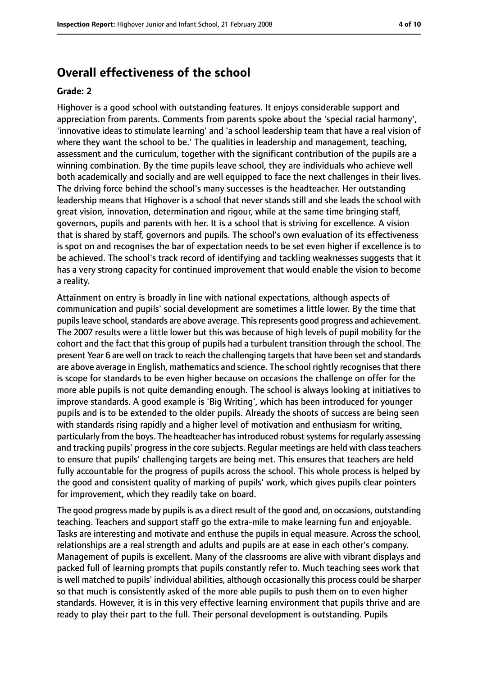# **Overall effectiveness of the school**

#### **Grade: 2**

Highover is a good school with outstanding features. It enjoys considerable support and appreciation from parents. Comments from parents spoke about the 'special racial harmony', 'innovative ideas to stimulate learning' and 'a school leadership team that have a real vision of where they want the school to be.' The qualities in leadership and management, teaching, assessment and the curriculum, together with the significant contribution of the pupils are a winning combination. By the time pupils leave school, they are individuals who achieve well both academically and socially and are well equipped to face the next challenges in their lives. The driving force behind the school's many successes is the headteacher. Her outstanding leadership means that Highover is a school that never stands still and she leads the school with great vision, innovation, determination and rigour, while at the same time bringing staff, governors, pupils and parents with her. It is a school that is striving for excellence. A vision that is shared by staff, governors and pupils. The school's own evaluation of its effectiveness is spot on and recognises the bar of expectation needs to be set even higher if excellence is to be achieved. The school's track record of identifying and tackling weaknesses suggests that it has a very strong capacity for continued improvement that would enable the vision to become a reality.

Attainment on entry is broadly in line with national expectations, although aspects of communication and pupils' social development are sometimes a little lower. By the time that pupils leave school, standards are above average. This represents good progress and achievement. The 2007 results were a little lower but this was because of high levels of pupil mobility for the cohort and the fact that this group of pupils had a turbulent transition through the school. The present Year 6 are well on track to reach the challenging targets that have been set and standards are above average in English, mathematics and science. The school rightly recognisesthat there is scope for standards to be even higher because on occasions the challenge on offer for the more able pupils is not quite demanding enough. The school is always looking at initiatives to improve standards. A good example is 'Big Writing', which has been introduced for younger pupils and is to be extended to the older pupils. Already the shoots of success are being seen with standards rising rapidly and a higher level of motivation and enthusiasm for writing, particularly from the boys. The headteacher has introduced robust systems for regularly assessing and tracking pupils' progress in the core subjects. Regular meetings are held with class teachers to ensure that pupils' challenging targets are being met. This ensures that teachers are held fully accountable for the progress of pupils across the school. This whole process is helped by the good and consistent quality of marking of pupils' work, which gives pupils clear pointers for improvement, which they readily take on board.

The good progress made by pupils is as a direct result of the good and, on occasions, outstanding teaching. Teachers and support staff go the extra-mile to make learning fun and enjoyable. Tasks are interesting and motivate and enthuse the pupils in equal measure. Across the school, relationships are a real strength and adults and pupils are at ease in each other's company. Management of pupils is excellent. Many of the classrooms are alive with vibrant displays and packed full of learning prompts that pupils constantly refer to. Much teaching sees work that is well matched to pupils' individual abilities, although occasionally this process could be sharper so that much is consistently asked of the more able pupils to push them on to even higher standards. However, it is in this very effective learning environment that pupils thrive and are ready to play their part to the full. Their personal development is outstanding. Pupils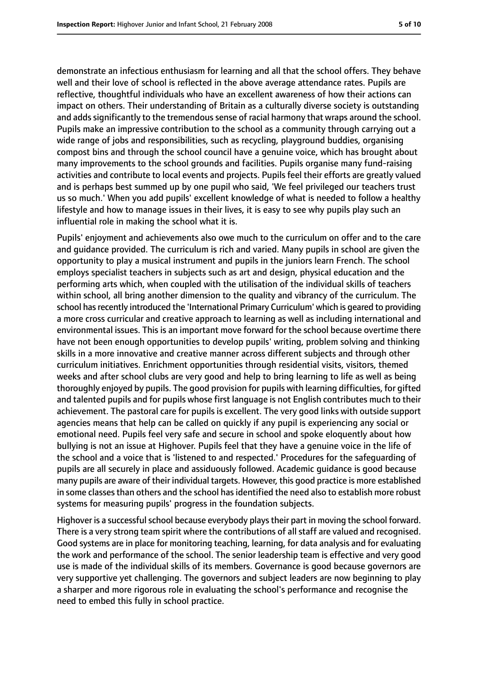demonstrate an infectious enthusiasm for learning and all that the school offers. They behave well and their love of school is reflected in the above average attendance rates. Pupils are reflective, thoughtful individuals who have an excellent awareness of how their actions can impact on others. Their understanding of Britain as a culturally diverse society is outstanding and adds significantly to the tremendous sense of racial harmony that wraps around the school. Pupils make an impressive contribution to the school as a community through carrying out a wide range of jobs and responsibilities, such as recycling, playground buddies, organising compost bins and through the school council have a genuine voice, which has brought about many improvements to the school grounds and facilities. Pupils organise many fund-raising activities and contribute to local events and projects. Pupils feel their efforts are greatly valued and is perhaps best summed up by one pupil who said, 'We feel privileged our teachers trust us so much.' When you add pupils' excellent knowledge of what is needed to follow a healthy lifestyle and how to manage issues in their lives, it is easy to see why pupils play such an influential role in making the school what it is.

Pupils' enjoyment and achievements also owe much to the curriculum on offer and to the care and guidance provided. The curriculum is rich and varied. Many pupils in school are given the opportunity to play a musical instrument and pupils in the juniors learn French. The school employs specialist teachers in subjects such as art and design, physical education and the performing arts which, when coupled with the utilisation of the individual skills of teachers within school, all bring another dimension to the quality and vibrancy of the curriculum. The school has recently introduced the 'International Primary Curriculum' which is geared to providing a more cross curricular and creative approach to learning as well as including international and environmental issues. This is an important move forward for the school because overtime there have not been enough opportunities to develop pupils' writing, problem solving and thinking skills in a more innovative and creative manner across different subjects and through other curriculum initiatives. Enrichment opportunities through residential visits, visitors, themed weeks and after school clubs are very good and help to bring learning to life as well as being thoroughly enjoyed by pupils. The good provision for pupils with learning difficulties, for gifted and talented pupils and for pupils whose first language is not English contributes much to their achievement. The pastoral care for pupils is excellent. The very good links with outside support agencies means that help can be called on quickly if any pupil is experiencing any social or emotional need. Pupils feel very safe and secure in school and spoke eloquently about how bullying is not an issue at Highover. Pupils feel that they have a genuine voice in the life of the school and a voice that is 'listened to and respected.' Procedures for the safeguarding of pupils are all securely in place and assiduously followed. Academic guidance is good because many pupils are aware of their individual targets. However, this good practice is more established in some classes than others and the school has identified the need also to establish more robust systems for measuring pupils' progress in the foundation subjects.

Highover is a successful school because everybody plays their part in moving the school forward. There is a very strong team spirit where the contributions of all staff are valued and recognised. Good systems are in place for monitoring teaching, learning, for data analysis and for evaluating the work and performance of the school. The senior leadership team is effective and very good use is made of the individual skills of its members. Governance is good because governors are very supportive yet challenging. The governors and subject leaders are now beginning to play a sharper and more rigorous role in evaluating the school's performance and recognise the need to embed this fully in school practice.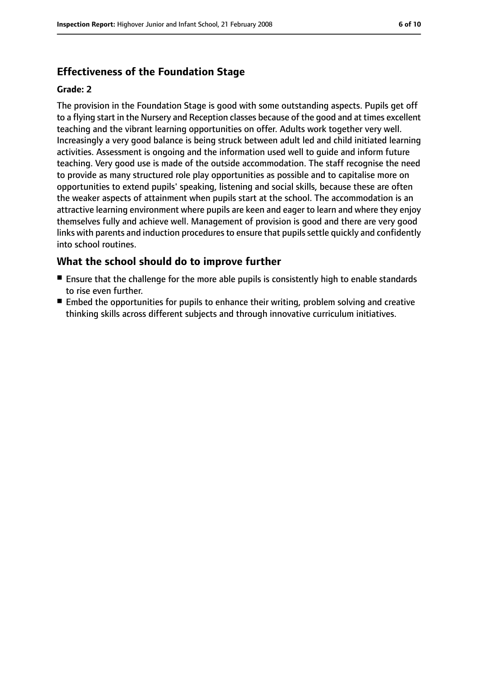# **Effectiveness of the Foundation Stage**

### **Grade: 2**

The provision in the Foundation Stage is good with some outstanding aspects. Pupils get off to a flying start in the Nursery and Reception classes because of the good and at times excellent teaching and the vibrant learning opportunities on offer. Adults work together very well. Increasingly a very good balance is being struck between adult led and child initiated learning activities. Assessment is ongoing and the information used well to guide and inform future teaching. Very good use is made of the outside accommodation. The staff recognise the need to provide as many structured role play opportunities as possible and to capitalise more on opportunities to extend pupils' speaking, listening and social skills, because these are often the weaker aspects of attainment when pupils start at the school. The accommodation is an attractive learning environment where pupils are keen and eager to learn and where they enjoy themselves fully and achieve well. Management of provision is good and there are very good links with parents and induction procedures to ensure that pupils settle quickly and confidently into school routines.

# **What the school should do to improve further**

- Ensure that the challenge for the more able pupils is consistently high to enable standards to rise even further.
- Embed the opportunities for pupils to enhance their writing, problem solving and creative thinking skills across different subjects and through innovative curriculum initiatives.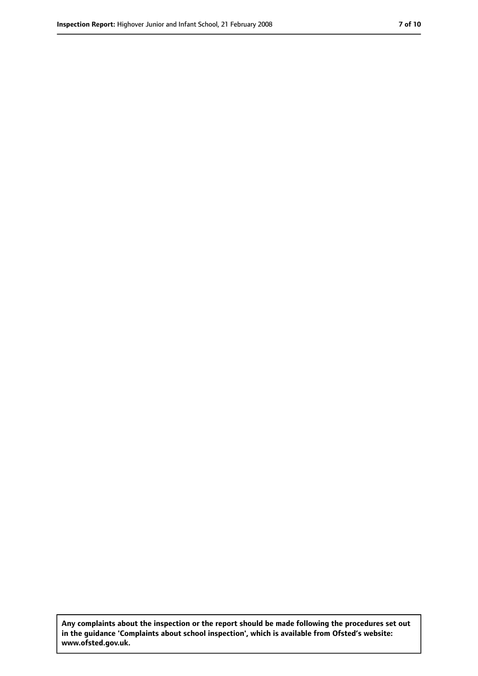**Any complaints about the inspection or the report should be made following the procedures set out in the guidance 'Complaints about school inspection', which is available from Ofsted's website: www.ofsted.gov.uk.**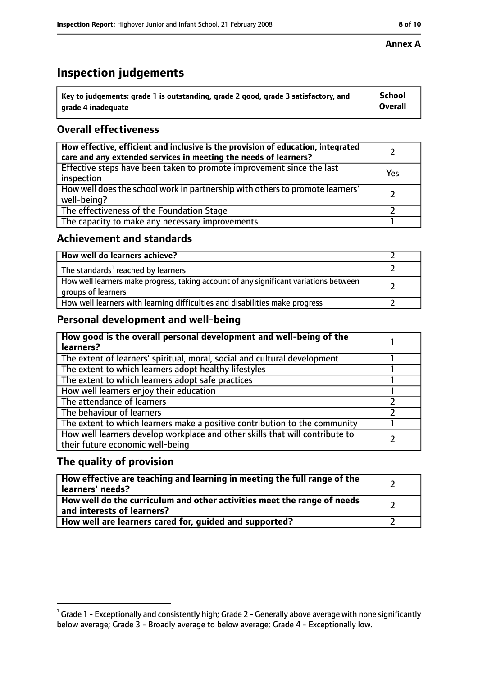# **Inspection judgements**

| $^{\backprime}$ Key to judgements: grade 1 is outstanding, grade 2 good, grade 3 satisfactory, and | School         |
|----------------------------------------------------------------------------------------------------|----------------|
| arade 4 inadequate                                                                                 | <b>Overall</b> |

# **Overall effectiveness**

| How effective, efficient and inclusive is the provision of education, integrated<br>care and any extended services in meeting the needs of learners? |     |
|------------------------------------------------------------------------------------------------------------------------------------------------------|-----|
| Effective steps have been taken to promote improvement since the last<br>inspection                                                                  | Yes |
| How well does the school work in partnership with others to promote learners'<br>well-being?                                                         |     |
| The effectiveness of the Foundation Stage                                                                                                            |     |
| The capacity to make any necessary improvements                                                                                                      |     |

## **Achievement and standards**

| How well do learners achieve?                                                                               |  |
|-------------------------------------------------------------------------------------------------------------|--|
| The standards <sup>1</sup> reached by learners                                                              |  |
| How well learners make progress, taking account of any significant variations between<br>groups of learners |  |
| How well learners with learning difficulties and disabilities make progress                                 |  |

# **Personal development and well-being**

| How good is the overall personal development and well-being of the<br>learners?                                  |  |
|------------------------------------------------------------------------------------------------------------------|--|
| The extent of learners' spiritual, moral, social and cultural development                                        |  |
| The extent to which learners adopt healthy lifestyles                                                            |  |
| The extent to which learners adopt safe practices                                                                |  |
| How well learners enjoy their education                                                                          |  |
| The attendance of learners                                                                                       |  |
| The behaviour of learners                                                                                        |  |
| The extent to which learners make a positive contribution to the community                                       |  |
| How well learners develop workplace and other skills that will contribute to<br>their future economic well-being |  |

# **The quality of provision**

| How effective are teaching and learning in meeting the full range of the<br>learners' needs?          |  |
|-------------------------------------------------------------------------------------------------------|--|
| How well do the curriculum and other activities meet the range of needs<br>and interests of learners? |  |
| How well are learners cared for, guided and supported?                                                |  |

 $^1$  Grade 1 - Exceptionally and consistently high; Grade 2 - Generally above average with none significantly below average; Grade 3 - Broadly average to below average; Grade 4 - Exceptionally low.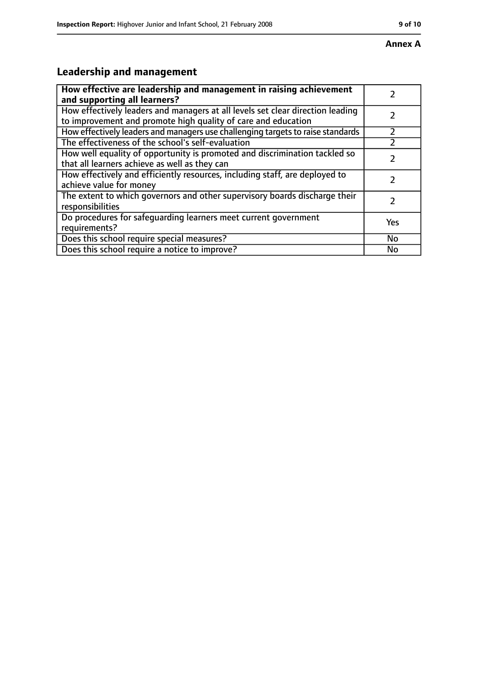# **Leadership and management**

| How effective are leadership and management in raising achievement<br>and supporting all learners?                                              |           |
|-------------------------------------------------------------------------------------------------------------------------------------------------|-----------|
| How effectively leaders and managers at all levels set clear direction leading<br>to improvement and promote high quality of care and education |           |
| How effectively leaders and managers use challenging targets to raise standards                                                                 |           |
| The effectiveness of the school's self-evaluation                                                                                               |           |
| How well equality of opportunity is promoted and discrimination tackled so<br>that all learners achieve as well as they can                     |           |
| How effectively and efficiently resources, including staff, are deployed to<br>achieve value for money                                          | 7         |
| The extent to which governors and other supervisory boards discharge their<br>responsibilities                                                  |           |
| Do procedures for safequarding learners meet current government<br>requirements?                                                                | Yes       |
| Does this school require special measures?                                                                                                      | <b>No</b> |
| Does this school require a notice to improve?                                                                                                   | No        |